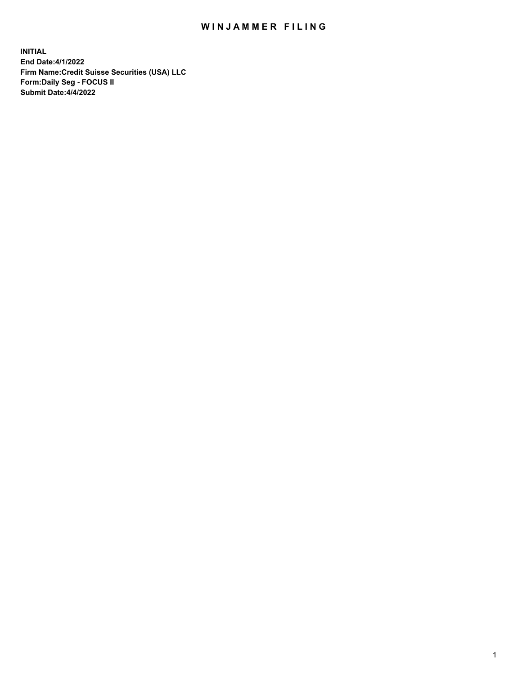# WIN JAMMER FILING

**INITIAL End Date:4/1/2022 Firm Name:Credit Suisse Securities (USA) LLC Form:Daily Seg - FOCUS II Submit Date:4/4/2022**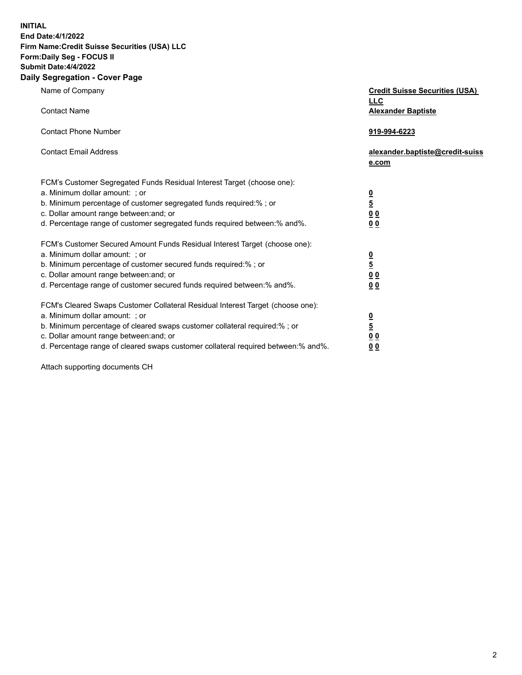**INITIAL**

#### **End Date:4/1/2022 Firm Name:Credit Suisse Securities (USA) LLC Form:Daily Seg - FOCUS II Submit Date:4/4/2022**

# **Daily Segregation - Cover Page**

| Name of Company<br><b>Contact Name</b>                                                                                                                                                                                                                                                                                         | <b>Credit Suisse Securities (USA)</b><br><b>LLC</b><br><b>Alexander Baptiste</b> |
|--------------------------------------------------------------------------------------------------------------------------------------------------------------------------------------------------------------------------------------------------------------------------------------------------------------------------------|----------------------------------------------------------------------------------|
| <b>Contact Phone Number</b>                                                                                                                                                                                                                                                                                                    | 919-994-6223                                                                     |
| <b>Contact Email Address</b>                                                                                                                                                                                                                                                                                                   | alexander.baptiste@credit-suiss<br>e.com                                         |
| FCM's Customer Segregated Funds Residual Interest Target (choose one):<br>a. Minimum dollar amount: ; or<br>b. Minimum percentage of customer segregated funds required:% ; or<br>c. Dollar amount range between: and; or<br>d. Percentage range of customer segregated funds required between: % and %.                       | $\frac{0}{5}$<br>$\underline{0}$<br>$\underline{0}$<br>0 <sub>0</sub>            |
| FCM's Customer Secured Amount Funds Residual Interest Target (choose one):<br>a. Minimum dollar amount: ; or<br>b. Minimum percentage of customer secured funds required:% ; or<br>c. Dollar amount range between: and; or<br>d. Percentage range of customer secured funds required between:% and%.                           | $\frac{\frac{0}{5}}{\frac{0}{0}}$<br>0 <sub>0</sub>                              |
| FCM's Cleared Swaps Customer Collateral Residual Interest Target (choose one):<br>a. Minimum dollar amount: ; or<br>b. Minimum percentage of cleared swaps customer collateral required:% ; or<br>c. Dollar amount range between: and; or<br>d. Percentage range of cleared swaps customer collateral required between:% and%. | $\frac{0}{5}$<br>0 <sub>0</sub><br>0 <sub>0</sub>                                |

Attach supporting documents CH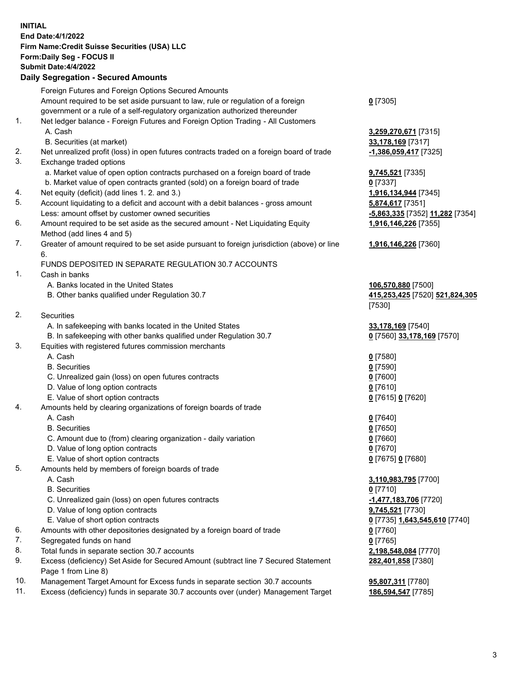### **INITIAL End Date:4/1/2022 Firm Name:Credit Suisse Securities (USA) LLC Form:Daily Seg - FOCUS II Submit Date:4/4/2022**

### **Daily Segregation - Secured Amounts**

|     | Foreign Futures and Foreign Options Secured Amounts                                         |                                 |
|-----|---------------------------------------------------------------------------------------------|---------------------------------|
|     | Amount required to be set aside pursuant to law, rule or regulation of a foreign            | $0$ [7305]                      |
|     | government or a rule of a self-regulatory organization authorized thereunder                |                                 |
| 1.  | Net ledger balance - Foreign Futures and Foreign Option Trading - All Customers             |                                 |
|     | A. Cash                                                                                     | 3,259,270,671 [7315]            |
|     | B. Securities (at market)                                                                   | 33,178,169 [7317]               |
| 2.  | Net unrealized profit (loss) in open futures contracts traded on a foreign board of trade   | -1,386,059,417 [7325]           |
| 3.  | Exchange traded options                                                                     |                                 |
|     | a. Market value of open option contracts purchased on a foreign board of trade              | 9,745,521 [7335]                |
|     | b. Market value of open contracts granted (sold) on a foreign board of trade                | $0$ [7337]                      |
| 4.  | Net equity (deficit) (add lines 1. 2. and 3.)                                               | 1,916,134,944 [7345]            |
| 5.  | Account liquidating to a deficit and account with a debit balances - gross amount           | 5,874,617 [7351]                |
|     | Less: amount offset by customer owned securities                                            | -5,863,335 [7352] 11,282 [7354] |
| 6.  | Amount required to be set aside as the secured amount - Net Liquidating Equity              | 1,916,146,226 [7355]            |
|     | Method (add lines 4 and 5)                                                                  |                                 |
| 7.  | Greater of amount required to be set aside pursuant to foreign jurisdiction (above) or line | 1,916,146,226 [7360]            |
|     | 6.                                                                                          |                                 |
|     | FUNDS DEPOSITED IN SEPARATE REGULATION 30.7 ACCOUNTS                                        |                                 |
| 1.  | Cash in banks                                                                               |                                 |
|     | A. Banks located in the United States                                                       | 106,570,880 [7500]              |
|     | B. Other banks qualified under Regulation 30.7                                              | 415,253,425 [7520] 521,824,305  |
|     |                                                                                             | [7530]                          |
| 2.  | <b>Securities</b>                                                                           |                                 |
|     | A. In safekeeping with banks located in the United States                                   | 33,178,169 [7540]               |
|     | B. In safekeeping with other banks qualified under Regulation 30.7                          | 0 [7560] 33,178,169 [7570]      |
| 3.  | Equities with registered futures commission merchants                                       |                                 |
|     | A. Cash                                                                                     | $0$ [7580]                      |
|     | <b>B.</b> Securities                                                                        | $0$ [7590]                      |
|     | C. Unrealized gain (loss) on open futures contracts                                         | $0$ [7600]                      |
|     | D. Value of long option contracts                                                           | $0$ [7610]                      |
|     | E. Value of short option contracts                                                          | 0 [7615] 0 [7620]               |
| 4.  | Amounts held by clearing organizations of foreign boards of trade                           |                                 |
|     | A. Cash                                                                                     | $0$ [7640]                      |
|     | <b>B.</b> Securities                                                                        | $0$ [7650]                      |
|     | C. Amount due to (from) clearing organization - daily variation                             | $0$ [7660]                      |
|     | D. Value of long option contracts                                                           | $0$ [7670]                      |
|     | E. Value of short option contracts                                                          | 0 [7675] 0 [7680]               |
| 5.  | Amounts held by members of foreign boards of trade                                          |                                 |
|     | A. Cash                                                                                     | 3,110,983,795 [7700]            |
|     | <b>B.</b> Securities                                                                        | $0$ [7710]                      |
|     | C. Unrealized gain (loss) on open futures contracts                                         | -1,477,183,706 [7720]           |
|     | D. Value of long option contracts                                                           | 9,745,521 [7730]                |
|     | E. Value of short option contracts                                                          | 0 [7735] 1,643,545,610 [7740]   |
| 6.  | Amounts with other depositories designated by a foreign board of trade                      | $0$ [7760]                      |
| 7.  | Segregated funds on hand                                                                    | $0$ [7765]                      |
| 8.  | Total funds in separate section 30.7 accounts                                               | 2,198,548,084 [7770]            |
| 9.  | Excess (deficiency) Set Aside for Secured Amount (subtract line 7 Secured Statement         | 282,401,858 [7380]              |
|     | Page 1 from Line 8)                                                                         |                                 |
| 10. | Management Target Amount for Excess funds in separate section 30.7 accounts                 | 95,807,311 [7780]               |

11. Excess (deficiency) funds in separate 30.7 accounts over (under) Management Target **186,594,547** [7785]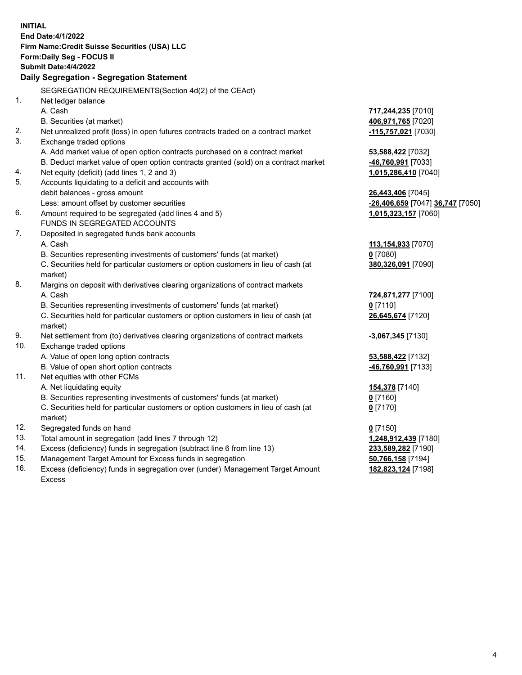| <b>INITIAL</b> |                                                                                     |                                  |
|----------------|-------------------------------------------------------------------------------------|----------------------------------|
|                | End Date: 4/1/2022                                                                  |                                  |
|                | Firm Name: Credit Suisse Securities (USA) LLC                                       |                                  |
|                | Form: Daily Seg - FOCUS II                                                          |                                  |
|                | <b>Submit Date: 4/4/2022</b>                                                        |                                  |
|                | Daily Segregation - Segregation Statement                                           |                                  |
|                | SEGREGATION REQUIREMENTS(Section 4d(2) of the CEAct)                                |                                  |
| 1 <sub>1</sub> | Net ledger balance                                                                  |                                  |
|                | A. Cash                                                                             | 717,244,235 [7010]               |
|                | B. Securities (at market)                                                           | 406,971,765 [7020]               |
| 2.             | Net unrealized profit (loss) in open futures contracts traded on a contract market  | -115,757,021 [7030]              |
| 3.             | Exchange traded options                                                             |                                  |
|                | A. Add market value of open option contracts purchased on a contract market         | 53,588,422 [7032]                |
|                | B. Deduct market value of open option contracts granted (sold) on a contract market | -46,760,991 [7033]               |
| 4.             | Net equity (deficit) (add lines 1, 2 and 3)                                         | 1,015,286,410 [7040]             |
| 5.             | Accounts liquidating to a deficit and accounts with                                 |                                  |
|                | debit balances - gross amount                                                       | 26,443,406 [7045]                |
|                | Less: amount offset by customer securities                                          | -26,406,659 [7047] 36,747 [7050] |
| 6.             | Amount required to be segregated (add lines 4 and 5)                                | 1,015,323,157 [7060]             |
|                | FUNDS IN SEGREGATED ACCOUNTS                                                        |                                  |
| 7.             | Deposited in segregated funds bank accounts                                         |                                  |
|                | A. Cash                                                                             | 113,154,933 [7070]               |
|                | B. Securities representing investments of customers' funds (at market)              | $0$ [7080]                       |
|                | C. Securities held for particular customers or option customers in lieu of cash (at | 380,326,091 [7090]               |
|                | market)                                                                             |                                  |
| 8.             | Margins on deposit with derivatives clearing organizations of contract markets      |                                  |
|                | A. Cash                                                                             | 724,871,277 [7100]               |
|                | B. Securities representing investments of customers' funds (at market)              | $0$ [7110]                       |
|                | C. Securities held for particular customers or option customers in lieu of cash (at | 26,645,674 [7120]                |
|                | market)                                                                             |                                  |
| 9.             | Net settlement from (to) derivatives clearing organizations of contract markets     | -3,067,345 [7130]                |
| 10.            | Exchange traded options                                                             |                                  |
|                | A. Value of open long option contracts                                              | 53,588,422 [7132]                |
|                | B. Value of open short option contracts                                             | <u>-46,760,991</u> [7133]        |
| 11.            | Net equities with other FCMs                                                        |                                  |
|                | A. Net liquidating equity                                                           | 154,378 [7140]                   |
|                | B. Securities representing investments of customers' funds (at market)              | $0$ [7160]                       |
|                | C. Securities held for particular customers or option customers in lieu of cash (at | $0$ [7170]                       |
|                | market)                                                                             |                                  |
| 12.            | Segregated funds on hand                                                            | $0$ [7150]                       |
| 13.            | Total amount in segregation (add lines 7 through 12)                                | 1,248,912,439 [7180]             |
| 14.            | Excess (deficiency) funds in segregation (subtract line 6 from line 13)             | 233,589,282 [7190]               |
| 15.            | Management Target Amount for Excess funds in segregation                            | 50,766,158 [7194]                |
| 16.            | Excess (deficiency) funds in segregation over (under) Management Target Amount      | 182,823,124 [7198]               |
|                | <b>Excess</b>                                                                       |                                  |